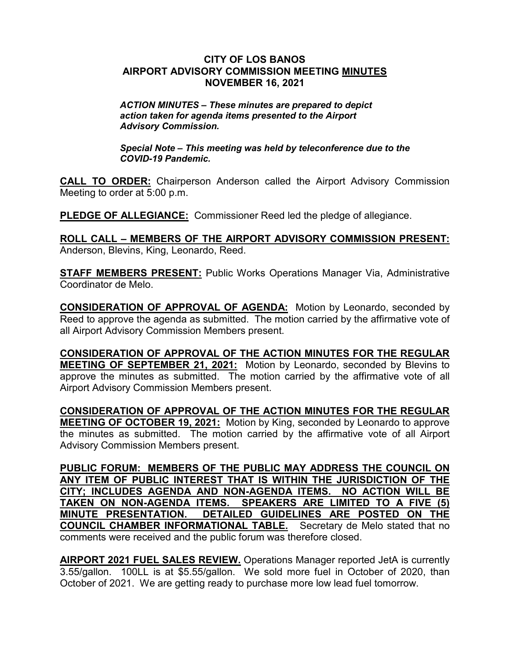## **CITY OF LOS BANOS AIRPORT ADVISORY COMMISSION MEETING MINUTES NOVEMBER 16, 2021**

*ACTION MINUTES – These minutes are prepared to depict action taken for agenda items presented to the Airport Advisory Commission.*

*Special Note – This meeting was held by teleconference due to the COVID-19 Pandemic.*

**CALL TO ORDER:** Chairperson Anderson called the Airport Advisory Commission Meeting to order at 5:00 p.m.

**PLEDGE OF ALLEGIANCE:** Commissioner Reed led the pledge of allegiance.

**ROLL CALL – MEMBERS OF THE AIRPORT ADVISORY COMMISSION PRESENT:** Anderson, Blevins, King, Leonardo, Reed.

**STAFF MEMBERS PRESENT:** Public Works Operations Manager Via, Administrative Coordinator de Melo.

**CONSIDERATION OF APPROVAL OF AGENDA:** Motion by Leonardo, seconded by Reed to approve the agenda as submitted. The motion carried by the affirmative vote of all Airport Advisory Commission Members present.

**CONSIDERATION OF APPROVAL OF THE ACTION MINUTES FOR THE REGULAR MEETING OF SEPTEMBER 21, 2021:** Motion by Leonardo, seconded by Blevins to approve the minutes as submitted. The motion carried by the affirmative vote of all Airport Advisory Commission Members present.

**CONSIDERATION OF APPROVAL OF THE ACTION MINUTES FOR THE REGULAR MEETING OF OCTOBER 19, 2021:** Motion by King, seconded by Leonardo to approve the minutes as submitted. The motion carried by the affirmative vote of all Airport Advisory Commission Members present.

**PUBLIC FORUM: MEMBERS OF THE PUBLIC MAY ADDRESS THE COUNCIL ON ANY ITEM OF PUBLIC INTEREST THAT IS WITHIN THE JURISDICTION OF THE CITY; INCLUDES AGENDA AND NON-AGENDA ITEMS. NO ACTION WILL BE TAKEN ON NON-AGENDA ITEMS. SPEAKERS ARE LIMITED TO A FIVE (5) MINUTE PRESENTATION. DETAILED GUIDELINES ARE POSTED ON THE COUNCIL CHAMBER INFORMATIONAL TABLE.** Secretary de Melo stated that no comments were received and the public forum was therefore closed.

**AIRPORT 2021 FUEL SALES REVIEW.** Operations Manager reported JetA is currently 3.55/gallon. 100LL is at \$5.55/gallon. We sold more fuel in October of 2020, than October of 2021. We are getting ready to purchase more low lead fuel tomorrow.